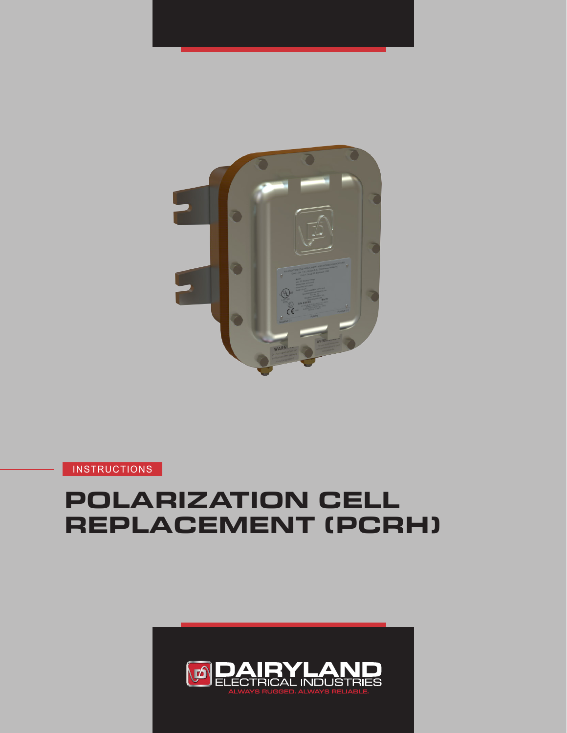

# **POLARIZATION CELL REPLACEMENT (PCRH)**

**INSTRUCTIONS** 

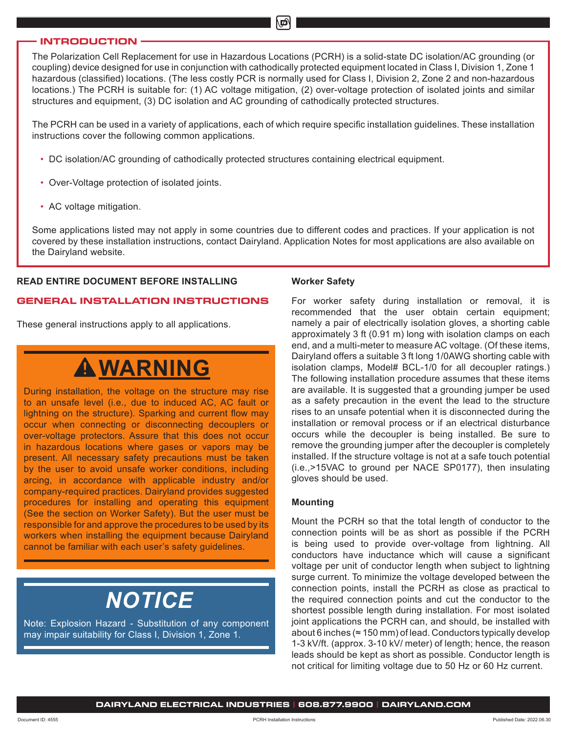#### **INTRODUCTION**

The Polarization Cell Replacement for use in Hazardous Locations (PCRH) is a solid-state DC isolation/AC grounding (or coupling) device designed for use in conjunction with cathodically protected equipment located in Class I, Division 1, Zone 1 hazardous (classified) locations. (The less costly PCR is normally used for Class I, Division 2, Zone 2 and non-hazardous locations.) The PCRH is suitable for: (1) AC voltage mitigation, (2) over-voltage protection of isolated joints and similar structures and equipment, (3) DC isolation and AC grounding of cathodically protected structures.

The PCRH can be used in a variety of applications, each of which require specific installation guidelines. These installation instructions cover the following common applications.

- DC isolation/AC grounding of cathodically protected structures containing electrical equipment.
- Over-Voltage protection of isolated joints.
- AC voltage mitigation.

Some applications listed may not apply in some countries due to different codes and practices. If your application is not covered by these installation instructions, contact Dairyland. Application Notes for most applications are also available on the Dairyland website.

### **READ ENTIRE DOCUMENT BEFORE INSTALLING**

### **GENERAL INSTALLATION INSTRUCTIONS**

These general instructions apply to all applications.

# **WARNING**

During installation, the voltage on the structure may rise to an unsafe level (i.e., due to induced AC, AC fault or lightning on the structure). Sparking and current flow may occur when connecting or disconnecting decouplers or over-voltage protectors. Assure that this does not occur in hazardous locations where gases or vapors may be present. All necessary safety precautions must be taken by the user to avoid unsafe worker conditions, including arcing, in accordance with applicable industry and/or company-required practices. Dairyland provides suggested procedures for installing and operating this equipment (See the section on Worker Safety). But the user must be responsible for and approve the procedures to be used by its workers when installing the equipment because Dairyland cannot be familiar with each user's safety guidelines.

# *NOTICE*

Note: Explosion Hazard - Substitution of any component may impair suitability for Class I, Division 1, Zone 1.

#### **Worker Safety**

For worker safety during installation or removal, it is recommended that the user obtain certain equipment; namely a pair of electrically isolation gloves, a shorting cable approximately 3 ft (0.91 m) long with isolation clamps on each end, and a multi-meter to measure AC voltage. (Of these items, Dairyland offers a suitable 3 ft long 1/0AWG shorting cable with isolation clamps, Model# BCL-1/0 for all decoupler ratings.) The following installation procedure assumes that these items are available. It is suggested that a grounding jumper be used as a safety precaution in the event the lead to the structure rises to an unsafe potential when it is disconnected during the installation or removal process or if an electrical disturbance occurs while the decoupler is being installed. Be sure to remove the grounding jumper after the decoupler is completely installed. If the structure voltage is not at a safe touch potential (i.e.,>15VAC to ground per NACE SP0177), then insulating gloves should be used.

#### **Mounting**

Mount the PCRH so that the total length of conductor to the connection points will be as short as possible if the PCRH is being used to provide over-voltage from lightning. All conductors have inductance which will cause a significant voltage per unit of conductor length when subject to lightning surge current. To minimize the voltage developed between the connection points, install the PCRH as close as practical to the required connection points and cut the conductor to the shortest possible length during installation. For most isolated joint applications the PCRH can, and should, be installed with about 6 inches ( $\approx$  150 mm) of lead. Conductors typically develop 1-3 kV/ft. (approx. 3-10 kV/ meter) of length; hence, the reason leads should be kept as short as possible. Conductor length is not critical for limiting voltage due to 50 Hz or 60 Hz current.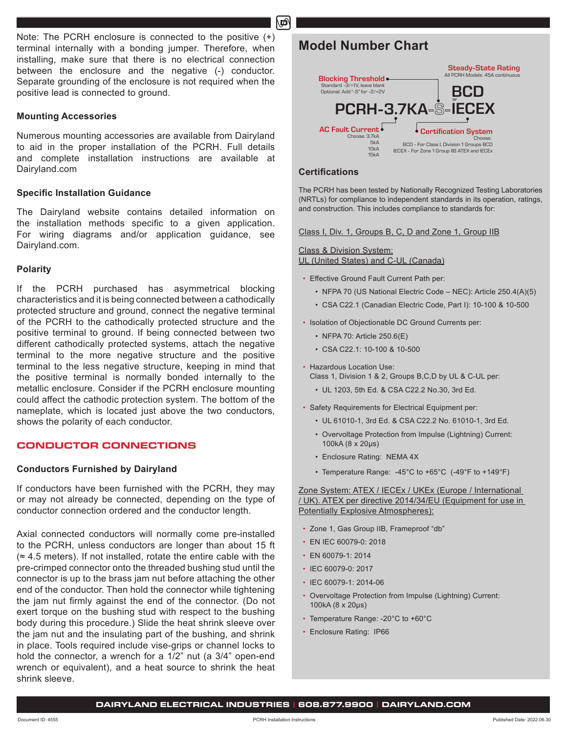Note: The PCRH enclosure is connected to the positive (+) terminal internally with a bonding jumper. Therefore, when installing, make sure that there is no electrical connection between the enclosure and the negative (-) conductor. Separate grounding of the enclosure is not required when the positive lead is connected to ground.

#### **Mounting Accessories**

Numerous mounting accessories are available from Dairyland to aid in the proper installation of the PCRH. Full details and complete installation instructions are available at Dairyland.com

#### **Specific Installation Guidance**

The Dairyland website contains detailed information on the installation methods specific to a given application. For wiring diagrams and/or application guidance, see Dairyland.com.

#### **Polarity**

If the PCRH purchased has asymmetrical blocking characteristics and it is being connected between a cathodically protected structure and ground, connect the negative terminal of the PCRH to the cathodically protected structure and the positive terminal to ground. If being connected between two different cathodically protected systems, attach the negative terminal to the more negative structure and the positive terminal to the less negative structure, keeping in mind that the positive terminal is normally bonded internally to the metallic enclosure. Consider if the PCRH enclosure mounting could affect the cathodic protection system. The bottom of the nameplate, which is located just above the two conductors, shows the polarity of each conductor.

### **CONDUCTOR CONNECTIONS**

### **Conductors Furnished by Dairyland**

If conductors have been furnished with the PCRH, they may or may not already be connected, depending on the type of conductor connection ordered and the conductor length.

Axial connected conductors will normally come pre-installed to the PCRH, unless conductors are longer than about 15 ft  $\approx$  4.5 meters). If not installed, rotate the entire cable with the pre-crimped connector onto the threaded bushing stud until the connector is up to the brass jam nut before attaching the other end of the conductor. Then hold the connector while tightening the jam nut firmly against the end of the connector. (Do not exert torque on the bushing stud with respect to the bushing body during this procedure.) Slide the heat shrink sleeve over the jam nut and the insulating part of the bushing, and shrink in place. Tools required include vise-grips or channel locks to hold the connector, a wrench for a 1/2" nut (a 3/4" open-end wrench or equivalent), and a heat source to shrink the heat shrink sleeve.

# **Model Number Chart**



#### **Certifications**

மி

The PCRH has been tested by Nationally Recognized Testing Laboratories (NRTLs) for compliance to independent standards in its operation, ratings, and construction. This includes compliance to standards for:

Class I, Div. 1, Groups B, C, D and Zone 1, Group IIB

#### Class & Division System: UL (United States) and C-UL (Canada)

- Effective Ground Fault Current Path per:
	- NFPA 70 (US National Electric Code NEC): Article 250.4(A)(5)
	- CSA C22.1 (Canadian Electric Code, Part I): 10-100 & 10-500
- Isolation of Objectionable DC Ground Currents per:
	- NFPA 70: Article 250.6(E)
	- CSA C22.1: 10-100 & 10-500
- Hazardous Location Use:
	- Class 1, Division 1 & 2, Groups B,C,D by UL & C-UL per:
	- UL 1203, 5th Ed. & CSA C22.2 No.30, 3rd Ed.
- Safety Requirements for Electrical Equipment per:
	- UL 61010-1, 3rd Ed. & CSA C22.2 No. 61010-1, 3rd Ed.
	- Overvoltage Protection from Impulse (Lightning) Current: 100kA (8 x 20µs)
	- Enclosure Rating: NEMA 4X
	- Temperature Range: -45°C to +65°C (-49°F to +149°F)

#### Zone System: ATEX / IECEx / UKEx (Europe / International / UK). ATEX per directive 2014/34/EU (Equipment for use in Potentially Explosive Atmospheres):

- Zone 1, Gas Group IIB, Frameproof "db"
- EN IEC 60079-0: 2018
- EN 60079-1: 2014
- IEC 60079-0: 2017
- IEC 60079-1: 2014-06
- Overvoltage Protection from Impulse (Lightning) Current: 100kA (8 x 20µs)
- Temperature Range: -20°C to +60°C
- Enclosure Rating: IP66

#### **DAIRYLAND ELECTRICAL INDUSTRIES | 608.877.9900 | DAIRYLAND.COM**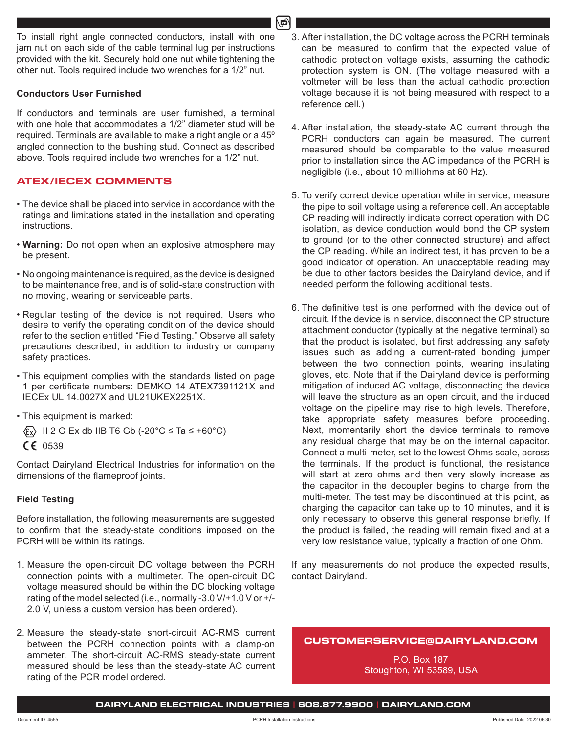To install right angle connected conductors, install with one jam nut on each side of the cable terminal lug per instructions provided with the kit. Securely hold one nut while tightening the other nut. Tools required include two wrenches for a 1/2" nut.

# **Conductors User Furnished**

If conductors and terminals are user furnished, a terminal with one hole that accommodates a 1/2" diameter stud will be required. Terminals are available to make a right angle or a 45º angled connection to the bushing stud. Connect as described above. Tools required include two wrenches for a 1/2" nut.

## **ATEX/IECEX COMMENTS**

- The device shall be placed into service in accordance with the ratings and limitations stated in the installation and operating instructions.
- **Warning:** Do not open when an explosive atmosphere may be present.
- No ongoing maintenance is required, as the device is designed to be maintenance free, and is of solid-state construction with no moving, wearing or serviceable parts.
- Regular testing of the device is not required. Users who desire to verify the operating condition of the device should refer to the section entitled "Field Testing." Observe all safety precautions described, in addition to industry or company safety practices.
- This equipment complies with the standards listed on page 1 per certificate numbers: DEMKO 14 ATEX7391121X and IECEx UL 14.0027X and UL21UKEX2251X.
- This equipment is marked:
	- $\langle \xi_x \rangle$  II 2 G Ex db IIB T6 Gb (-20°C  $\leq$  Ta  $\leq$  +60°C)
- $CE 0539$

Contact Dairyland Electrical Industries for information on the dimensions of the flameproof joints.

# **Field Testing**

Before installation, the following measurements are suggested to confirm that the steady-state conditions imposed on the PCRH will be within its ratings.

- 1. Measure the open-circuit DC voltage between the PCRH connection points with a multimeter. The open-circuit DC voltage measured should be within the DC blocking voltage rating of the model selected (i.e., normally -3.0 V/+1.0 V or +/- 2.0 V, unless a custom version has been ordered).
- 2. Measure the steady-state short-circuit AC-RMS current between the PCRH connection points with a clamp-on ammeter. The short-circuit AC-RMS steady-state current measured should be less than the steady-state AC current rating of the PCR model ordered.
- 3. After installation, the DC voltage across the PCRH terminals can be measured to confirm that the expected value of cathodic protection voltage exists, assuming the cathodic protection system is ON. (The voltage measured with a voltmeter will be less than the actual cathodic protection voltage because it is not being measured with respect to a reference cell.)
- 4. After installation, the steady-state AC current through the PCRH conductors can again be measured. The current measured should be comparable to the value measured prior to installation since the AC impedance of the PCRH is negligible (i.e., about 10 milliohms at 60 Hz).
- 5. To verify correct device operation while in service, measure the pipe to soil voltage using a reference cell. An acceptable CP reading will indirectly indicate correct operation with DC isolation, as device conduction would bond the CP system to ground (or to the other connected structure) and affect the CP reading. While an indirect test, it has proven to be a good indicator of operation. An unacceptable reading may be due to other factors besides the Dairyland device, and if needed perform the following additional tests.
- 6. The definitive test is one performed with the device out of circuit. If the device is in service, disconnect the CP structure attachment conductor (typically at the negative terminal) so that the product is isolated, but first addressing any safety issues such as adding a current-rated bonding jumper between the two connection points, wearing insulating gloves, etc. Note that if the Dairyland device is performing mitigation of induced AC voltage, disconnecting the device will leave the structure as an open circuit, and the induced voltage on the pipeline may rise to high levels. Therefore, take appropriate safety measures before proceeding. Next, momentarily short the device terminals to remove any residual charge that may be on the internal capacitor. Connect a multi-meter, set to the lowest Ohms scale, across the terminals. If the product is functional, the resistance will start at zero ohms and then very slowly increase as the capacitor in the decoupler begins to charge from the multi-meter. The test may be discontinued at this point, as charging the capacitor can take up to 10 minutes, and it is only necessary to observe this general response briefly. If the product is failed, the reading will remain fixed and at a very low resistance value, typically a fraction of one Ohm.

If any measurements do not produce the expected results, contact Dairyland.

**CUSTOMERSERVICE@DAIRYLAND.COM**

P.O. Box 187 Stoughton, WI 53589, USA

**DAIRYLAND ELECTRICAL INDUSTRIES | 608.877.9900 | DAIRYLAND.COM**

∖בח∖